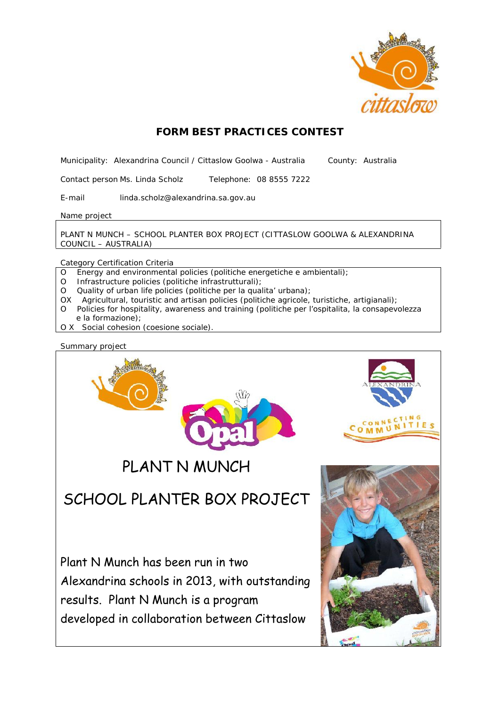

# **FORM BEST PRACTICES CONTEST**

Municipality: Alexandrina Council / Cittaslow Goolwa - Australia County: Australia

Contact person Ms.Linda Scholz Telephone: 08 8555 7222

E-mail linda.scholz@alexandrina.sa.gov.au

Name project

PLANT N MUNCH – SCHOOL PLANTER BOX PROJECT (CITTASLOW GOOLWA & ALEXANDRINA COUNCIL – AUSTRALIA)

Category Certification Criteria

- O Energy and environmental policies (politiche energetiche e ambientali);
- O Infrastructure policies (politiche infrastrutturali);
- O Quality of urban life policies (politiche per la qualita' urbana);
- OX Agricultural, touristic and artisan policies (politiche agricole, turistiche, artigianali);
- O Policies for hospitality, awareness and training (politiche per l'ospitalita, la consapevolezza e la formazione);
- O X Social cohesion (coesione sociale).

Summary project

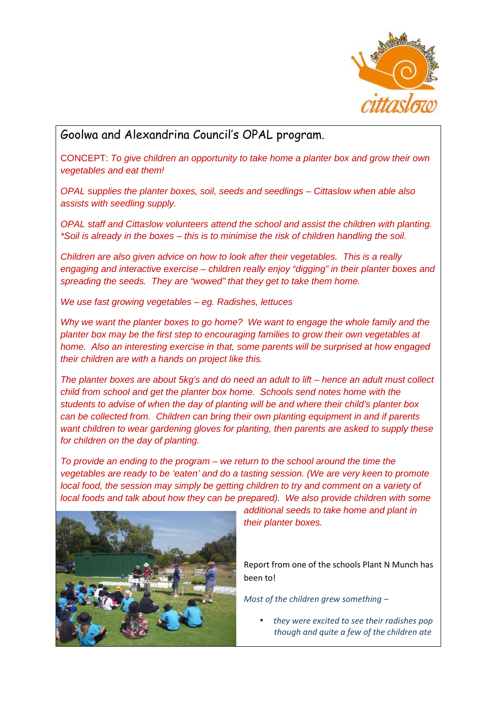

# Goolwa and Alexandrina Council's OPAL program.

CONCEPT: *To give children an opportunity to take home a planter box and grow their own vegetables and eat them!*

*OPAL supplies the planter boxes, soil, seeds and seedlings – Cittaslow when able also assists with seedling supply.*

*OPAL staff and Cittaslow volunteers attend the school and assist the children with planting. \*Soil is already in the boxes – this is to minimise the risk of children handling the soil.*

*Children are also given advice on how to look after their vegetables. This is a really engaging and interactive exercise – children really enjoy "digging" in their planter boxes and spreading the seeds. They are "wowed" that they get to take them home.*

*We use fast growing vegetables – eg. Radishes, lettuces*

*Why we want the planter boxes to go home? We want to engage the whole family and the planter box may be the first step to encouraging families to grow their own vegetables at home. Also an interesting exercise in that, some parents will be surprised at how engaged their children are with a hands on project like this.*

*The planter boxes are about 5kg's and do need an adult to lift – hence an adult must collect child from school and get the planter box home. Schools send notes home with the students to advise of when the day of planting will be and where their child's planter box can be collected from. Children can bring their own planting equipment in and if parents want children to wear gardening gloves for planting, then parents are asked to supply these for children on the day of planting.*

*To provide an ending to the program – we return to the school around the time the vegetables are ready to be 'eaten' and do a tasting session. (We are very keen to promote local food, the session may simply be getting children to try and comment on a variety of local foods and talk about how they can be prepared). We also provide children with some*



*additional seeds to take home and plant in their planter boxes.*

Report from one of the schools Plant N Munch has been to!

*Most of the children grew something –*

 *they were excited to see their radishes pop though and quite a few of the children ate*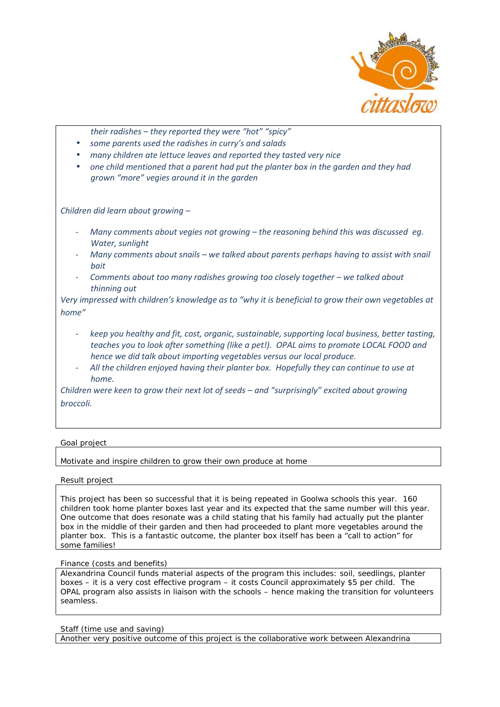

*their radishes – they reported they were "hot" "spicy"*

- *some parents used the radishes in curry's and salads*
- *many children ate lettuce leaves and reported they tasted very nice*
- *one child mentioned that a parent had put the planter box in the garden and they had grown "more" vegies around it in the garden*

*Children did learn about growing –*

- *Many comments about vegies not growing – the reasoning behind this was discussed eg. Water, sunlight*
- *Many comments about snails – we talked about parents perhaps having to assist with snail bait*
- *Comments about too many radishes growing too closely together – we talked about thinning out*

*Very impressed with children's knowledge as to "why it is beneficial to grow their own vegetables at home"*

- *keep you healthy and fit, cost, organic, sustainable, supporting local business, better tasting, teaches you to look after something (like a pet!). OPAL aims to promote LOCAL FOOD and hence we did talk about importing vegetables versus our local produce.*
- *All the children enjoyed having their planter box. Hopefully they can continue to use at home.*

*Children were keen to grow their next lot of seeds – and "surprisingly" excited about growing broccoli.*

## Goal project

Motivate and inspire children to grow their own produce at home

## Result project

This project has been so successful that it is being repeated in Goolwa schools this year. 160 children took home planter boxes last year and its expected that the same number will this year. One outcome that does resonate was a child stating that his family had actually put the planter box in the middle of their garden and then had proceeded to plant more vegetables around the planter box. This is a fantastic outcome, the planter box itself has been a "call to action" for some families!

#### Finance (costs and benefits)

Alexandrina Council funds material aspects of the program this includes: soil, seedlings, planter boxes – it is a very cost effective program – it costs Council approximately \$5 per child. The OPAL program also assists in liaison with the schools – hence making the transition for volunteers seamless.

#### Staff (time use and saving)

Another very positive outcome of this project is the collaborative work between Alexandrina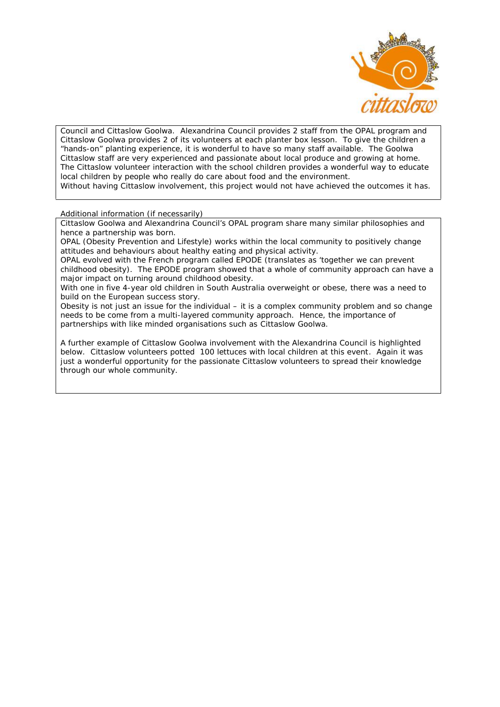

Council and Cittaslow Goolwa. Alexandrina Council provides 2 staff from the OPAL program and Cittaslow Goolwa provides 2 of its volunteers at each planter box lesson. To give the children a "hands-on" planting experience, it is wonderful to have so many staff available. The Goolwa Cittaslow staff are very experienced and passionate about local produce and growing at home. The Cittaslow volunteer interaction with the school children provides a wonderful way to educate local children by people who really do care about food and the environment. Without having Cittaslow involvement, this project would not have achieved the outcomes it has.

Additional information (if necessarily)

Cittaslow Goolwa and Alexandrina Council's OPAL program share many similar philosophies and hence a partnership was born.

OPAL (Obesity Prevention and Lifestyle) works within the local community to positively change attitudes and behaviours about healthy eating and physical activity.

OPAL evolved with the French program called EPODE (translates as 'together we can prevent childhood obesity). The EPODE program showed that a whole of community approach can have a major impact on turning around childhood obesity.

With one in five 4-year old children in South Australia overweight or obese, there was a need to build on the European success story.

Obesity is not just an issue for the individual – it is a complex community problem and so change needs to be come from a multi-layered community approach. Hence, the importance of partnerships with like minded organisations such as Cittaslow Goolwa.

A further example of Cittaslow Goolwa involvement with the Alexandrina Council is highlighted below. Cittaslow volunteers potted 100 lettuces with local children at this event. Again it was just a wonderful opportunity for the passionate Cittaslow volunteers to spread their knowledge through our whole community.